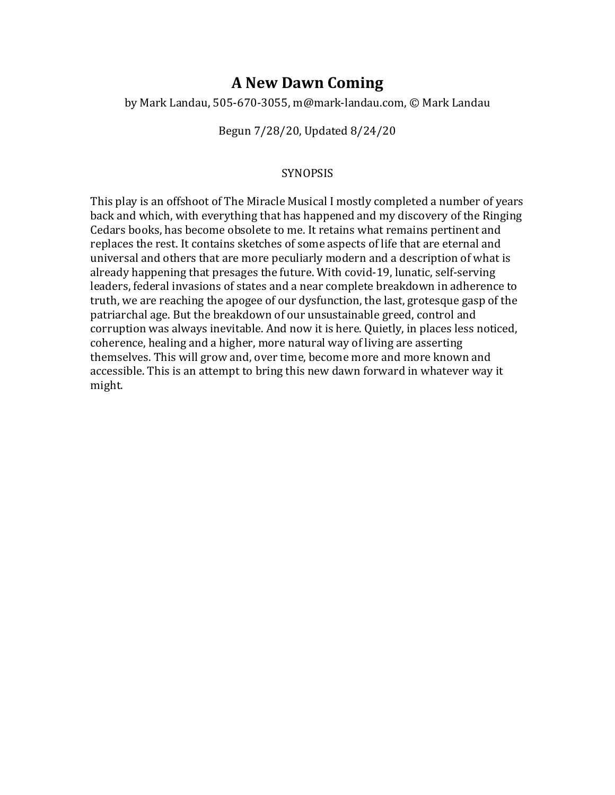# **A New Dawn Coming**

by Mark Landau, 505-670-3055, m@mark-landau.com, © Mark Landau

## Begun 7/28/20, Updated 8/24/20

## SYNOPSIS

This play is an offshoot of The Miracle Musical I mostly completed a number of years back and which, with everything that has happened and my discovery of the Ringing Cedars books, has become obsolete to me. It retains what remains pertinent and replaces the rest. It contains sketches of some aspects of life that are eternal and universal and others that are more peculiarly modern and a description of what is already happening that presages the future. With covid-19, lunatic, self-serving leaders, federal invasions of states and a near complete breakdown in adherence to truth, we are reaching the apogee of our dysfunction, the last, grotesque gasp of the patriarchal age. But the breakdown of our unsustainable greed, control and corruption was always inevitable. And now it is here. Quietly, in places less noticed, coherence, healing and a higher, more natural way of living are asserting themselves. This will grow and, over time, become more and more known and accessible. This is an attempt to bring this new dawn forward in whatever way it might.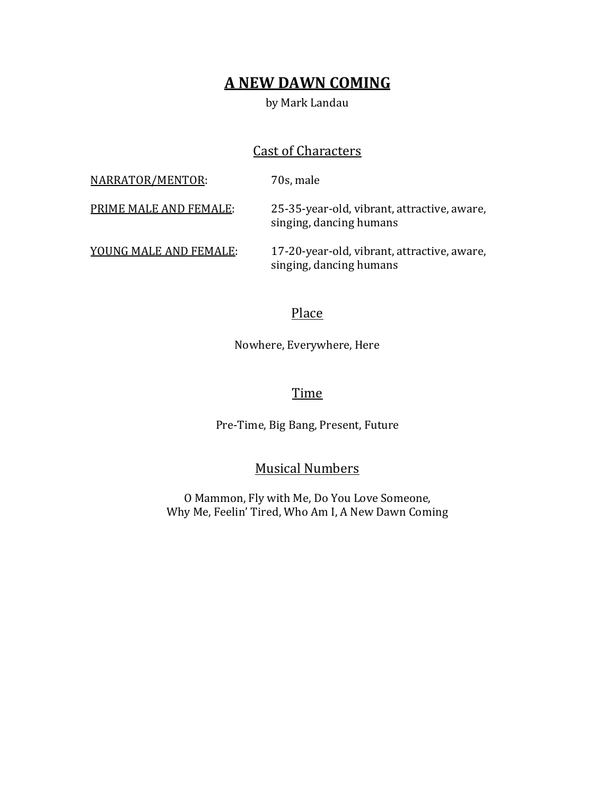# **A NEW DAWN COMING**

## by Mark Landau

# **Cast of Characters**

| <u> NARRATOR/MENTOR:</u> | 70s, male                                                              |
|--------------------------|------------------------------------------------------------------------|
| PRIME MALE AND FEMALE:   | 25-35-year-old, vibrant, attractive, aware,<br>singing, dancing humans |
| YOUNG MALE AND FEMALE:   | 17-20-year-old, vibrant, attractive, aware,<br>singing, dancing humans |

## Place

Nowhere, Everywhere, Here

## **Time**

Pre-Time, Big Bang, Present, Future

**Musical Numbers** 

O Mammon, Fly with Me, Do You Love Someone, Why Me, Feelin' Tired, Who Am I, A New Dawn Coming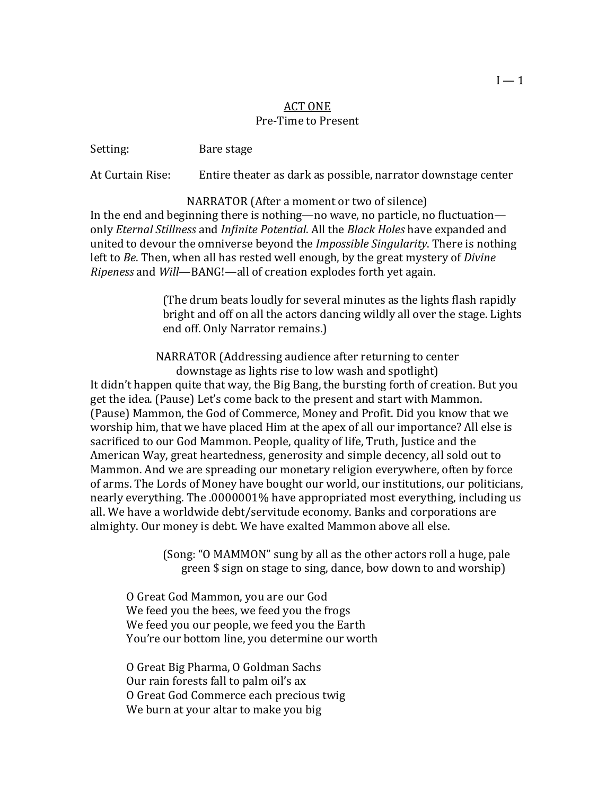## **ACT ONE** Pre-Time to Present

Setting: Bare stage

At Curtain Rise: Entire theater as dark as possible, narrator downstage center

NARRATOR (After a moment or two of silence) In the end and beginning there is nothing—no wave, no particle, no fluctuation only *Eternal Stillness* and *Infinite Potential*. All the *Black Holes* have expanded and united to devour the omniverse beyond the *Impossible Singularity*. There is nothing left to *Be*. Then, when all has rested well enough, by the great mystery of *Divine Ripeness* and *Will*—BANG!—all of creation explodes forth yet again.

> (The drum beats loudly for several minutes as the lights flash rapidly bright and off on all the actors dancing wildly all over the stage. Lights end off. Only Narrator remains.)

NARRATOR (Addressing audience after returning to center downstage as lights rise to low wash and spotlight) It didn't happen quite that way, the Big Bang, the bursting forth of creation. But you get the idea. (Pause) Let's come back to the present and start with Mammon. (Pause) Mammon, the God of Commerce, Money and Profit. Did you know that we worship him, that we have placed Him at the apex of all our importance? All else is sacrificed to our God Mammon. People, quality of life, Truth, Justice and the American Way, great heartedness, generosity and simple decency, all sold out to Mammon. And we are spreading our monetary religion everywhere, often by force of arms. The Lords of Money have bought our world, our institutions, our politicians, nearly everything. The .0000001% have appropriated most everything, including us all. We have a worldwide debt/servitude economy. Banks and corporations are almighty. Our money is debt. We have exalted Mammon above all else.

> (Song: "O MAMMON" sung by all as the other actors roll a huge, pale green \$ sign on stage to sing, dance, bow down to and worship)

O Great God Mammon, you are our God We feed you the bees, we feed you the frogs We feed you our people, we feed you the Earth You're our bottom line, you determine our worth

O Great Big Pharma, O Goldman Sachs Our rain forests fall to palm oil's ax O Great God Commerce each precious twig We burn at your altar to make you big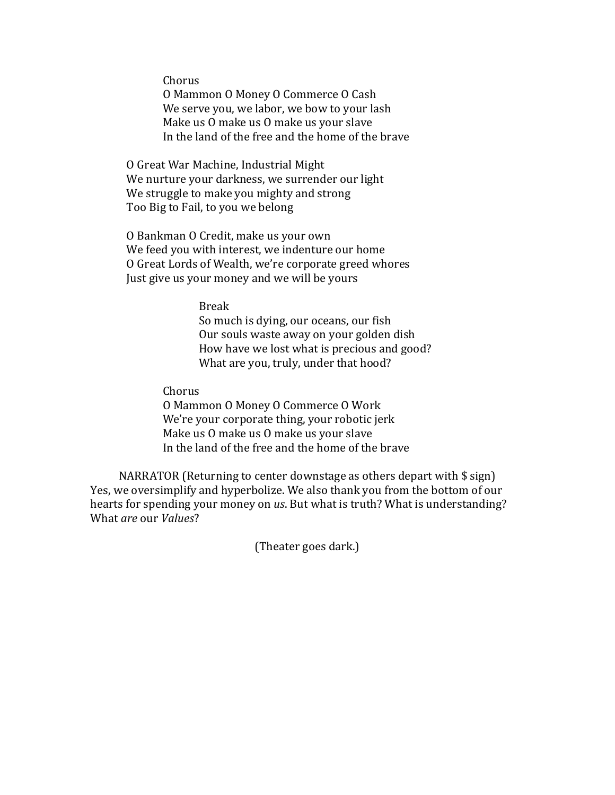Chorus

O Mammon O Money O Commerce O Cash We serve you, we labor, we bow to your lash Make us O make us O make us your slave In the land of the free and the home of the brave

O Great War Machine, Industrial Might We nurture your darkness, we surrender our light We struggle to make you mighty and strong Too Big to Fail, to you we belong

O Bankman O Credit, make us your own We feed you with interest, we indenture our home O Great Lords of Wealth, we're corporate greed whores Just give us your money and we will be yours

Break

So much is dying, our oceans, our fish Our souls waste away on your golden dish How have we lost what is precious and good? What are you, truly, under that hood?

Chorus

O Mammon O Money O Commerce O Work We're your corporate thing, your robotic jerk Make us O make us O make us your slave In the land of the free and the home of the brave

NARRATOR (Returning to center downstage as others depart with  $\frac{1}{2}$  sign) Yes, we oversimplify and hyperbolize. We also thank you from the bottom of our hearts for spending your money on *us*. But what is truth? What is understanding? What *are* our *Values*?

(Theater goes dark.)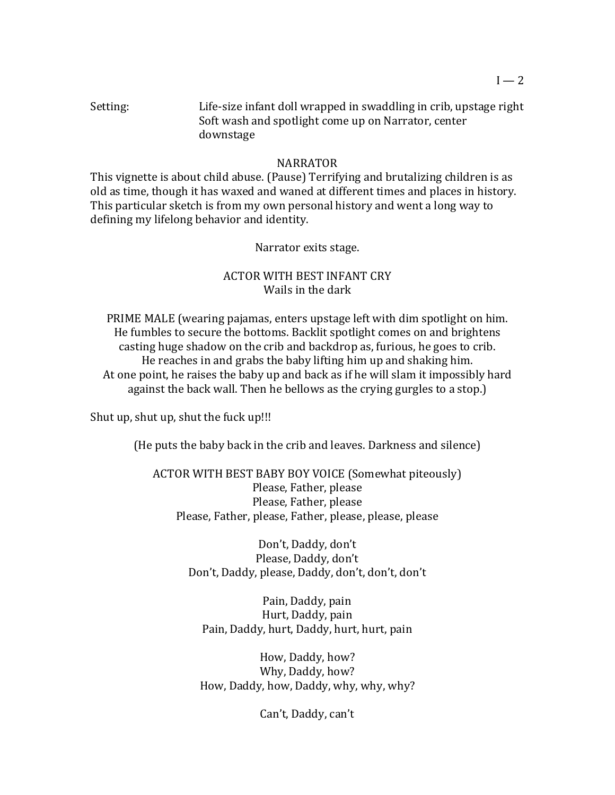## NARRATOR

This vignette is about child abuse. (Pause) Terrifying and brutalizing children is as old as time, though it has waxed and waned at different times and places in history. This particular sketch is from my own personal history and went a long way to defining my lifelong behavior and identity.

## Narrator exits stage.

## **ACTOR WITH BEST INFANT CRY** Wails in the dark

PRIME MALE (wearing pajamas, enters upstage left with dim spotlight on him. He fumbles to secure the bottoms. Backlit spotlight comes on and brightens casting huge shadow on the crib and backdrop as, furious, he goes to crib. He reaches in and grabs the baby lifting him up and shaking him. At one point, he raises the baby up and back as if he will slam it impossibly hard against the back wall. Then he bellows as the crying gurgles to a stop.)

Shut up, shut up, shut the fuck up!!!

(He puts the baby back in the crib and leaves. Darkness and silence)

ACTOR WITH BEST BABY BOY VOICE (Somewhat piteously) Please, Father, please Please, Father, please Please, Father, please, Father, please, please, please

> Don't, Daddy, don't Please, Daddy, don't Don't, Daddy, please, Daddy, don't, don't, don't

Pain, Daddy, pain Hurt, Daddy, pain Pain, Daddy, hurt, Daddy, hurt, hurt, pain

How, Daddy, how? Why, Daddy, how? How, Daddy, how, Daddy, why, why, why?

Can't, Daddy, can't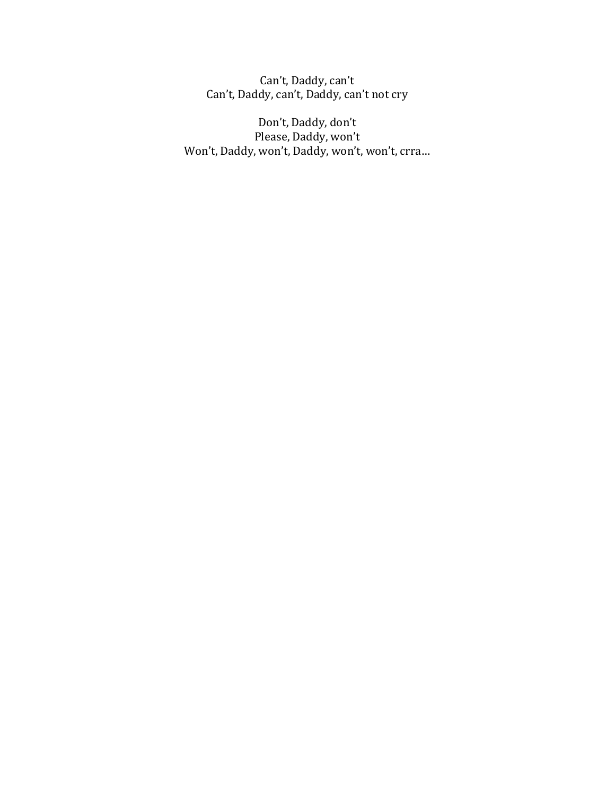Can't, Daddy, can't Can't, Daddy, can't, Daddy, can't not cry

Don't, Daddy, don't Please, Daddy, won't Won't, Daddy, won't, Daddy, won't, won't, crra...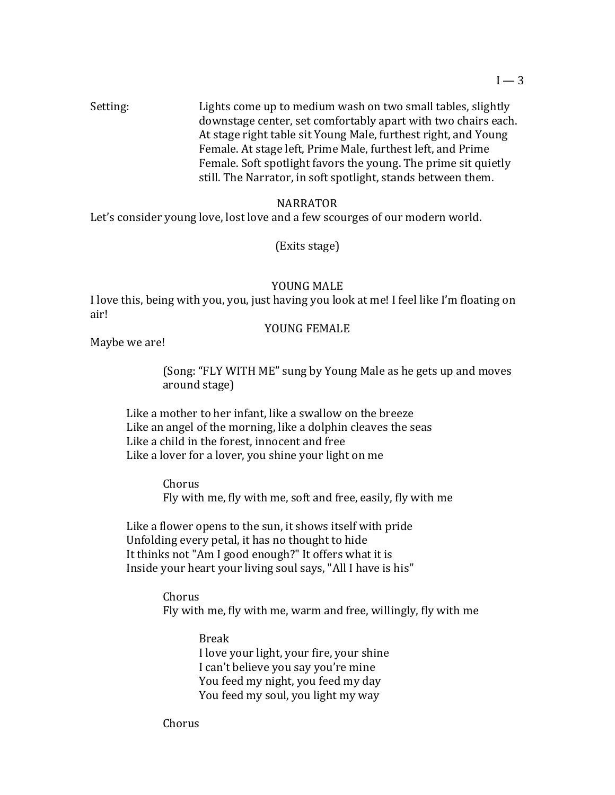Setting: Elights come up to medium wash on two small tables, slightly downstage center, set comfortably apart with two chairs each. At stage right table sit Young Male, furthest right, and Young Female. At stage left, Prime Male, furthest left, and Prime Female. Soft spotlight favors the young. The prime sit quietly still. The Narrator, in soft spotlight, stands between them.

## NARRATOR

Let's consider young love, lost love and a few scourges of our modern world.

(Exits stage)

#### YOUNG MALE

I love this, being with you, you, just having you look at me! I feel like I'm floating on air!

## YOUNG FEMALE

Maybe we are!

(Song: "FLY WITH ME" sung by Young Male as he gets up and moves around stage)

Like a mother to her infant, like a swallow on the breeze Like an angel of the morning, like a dolphin cleaves the seas Like a child in the forest, innocent and free Like a lover for a lover, you shine your light on me

> Chorus Fly with me, fly with me, soft and free, easily, fly with me

Like a flower opens to the sun, it shows itself with pride Unfolding every petal, it has no thought to hide It thinks not "Am I good enough?" It offers what it is Inside your heart your living soul says, "All I have is his"

> Chorus Fly with me, fly with me, warm and free, willingly, fly with me

> > Break I love your light, your fire, your shine I can't believe you say you're mine You feed my night, you feed my day You feed my soul, you light my way

Chorus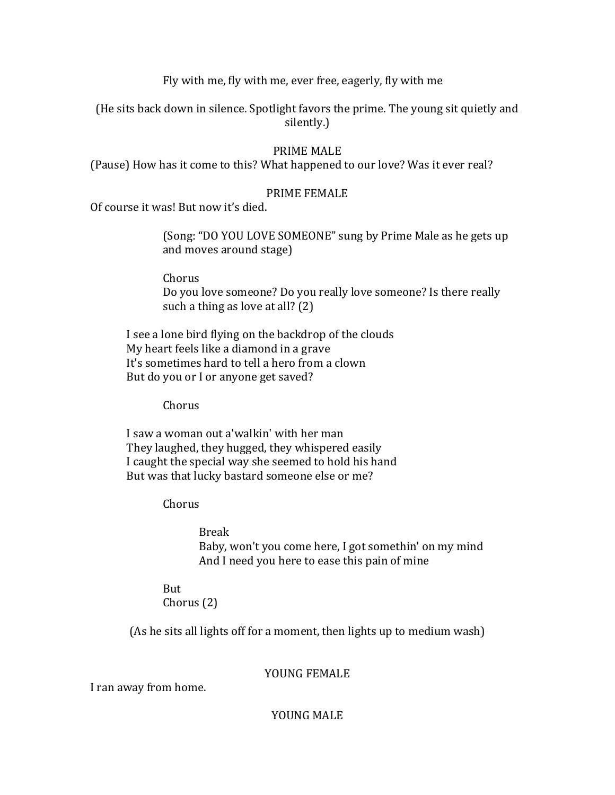Fly with me, fly with me, ever free, eagerly, fly with me

(He sits back down in silence. Spotlight favors the prime. The young sit quietly and silently.)

## PRIME MALE

(Pause) How has it come to this? What happened to our love? Was it ever real?

## PRIME FEMALE

Of course it was! But now it's died.

(Song: "DO YOU LOVE SOMEONE" sung by Prime Male as he gets up and moves around stage)

Chorus Do you love someone? Do you really love someone? Is there really such a thing as love at all?  $(2)$ 

I see a lone bird flying on the backdrop of the clouds My heart feels like a diamond in a grave It's sometimes hard to tell a hero from a clown But do you or I or anyone get saved?

Chorus

I saw a woman out a'walkin' with her man They laughed, they hugged, they whispered easily I caught the special way she seemed to hold his hand But was that lucky bastard someone else or me?

Chorus 

Break Baby, won't you come here, I got somethin' on my mind And I need you here to ease this pain of mine

But Chorus (2)

(As he sits all lights off for a moment, then lights up to medium wash)

YOUNG FEMALE

I ran away from home.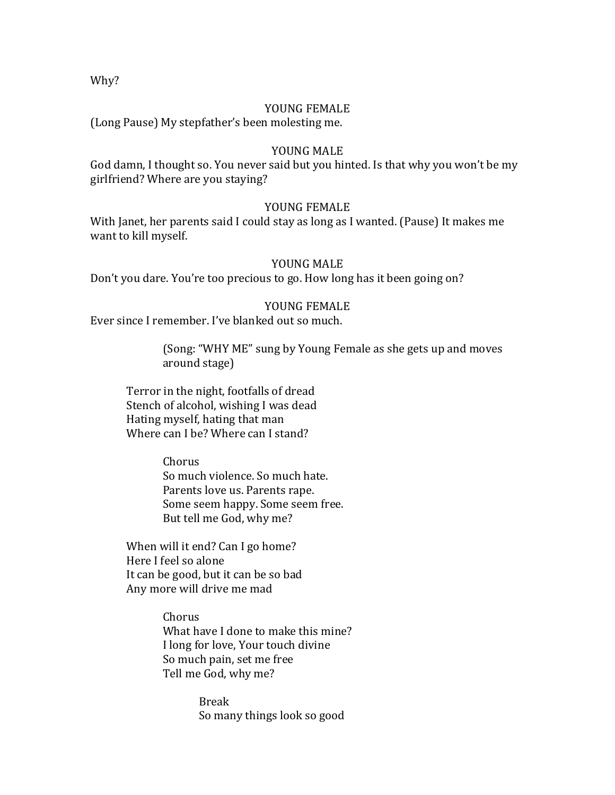Why?

#### YOUNG FEMALE

(Long Pause) My stepfather's been molesting me.

#### YOUNG MALE

God damn, I thought so. You never said but you hinted. Is that why you won't be my girlfriend? Where are you staying?

#### YOUNG FEMALE

With Janet, her parents said I could stay as long as I wanted. (Pause) It makes me want to kill myself.

#### YOUNG MALE

Don't you dare. You're too precious to go. How long has it been going on?

## YOUNG FEMALE

Ever since I remember. I've blanked out so much.

(Song: "WHY ME" sung by Young Female as she gets up and moves around stage)

Terror in the night, footfalls of dread Stench of alcohol, wishing I was dead Hating myself, hating that man Where can I be? Where can I stand?

> Chorus So much violence. So much hate. Parents love us. Parents rape. Some seem happy. Some seem free. But tell me God, why me?

When will it end? Can I go home? Here I feel so alone It can be good, but it can be so bad Any more will drive me mad

> Chorus What have I done to make this mine? I long for love, Your touch divine So much pain, set me free Tell me God, why me?

> > Break So many things look so good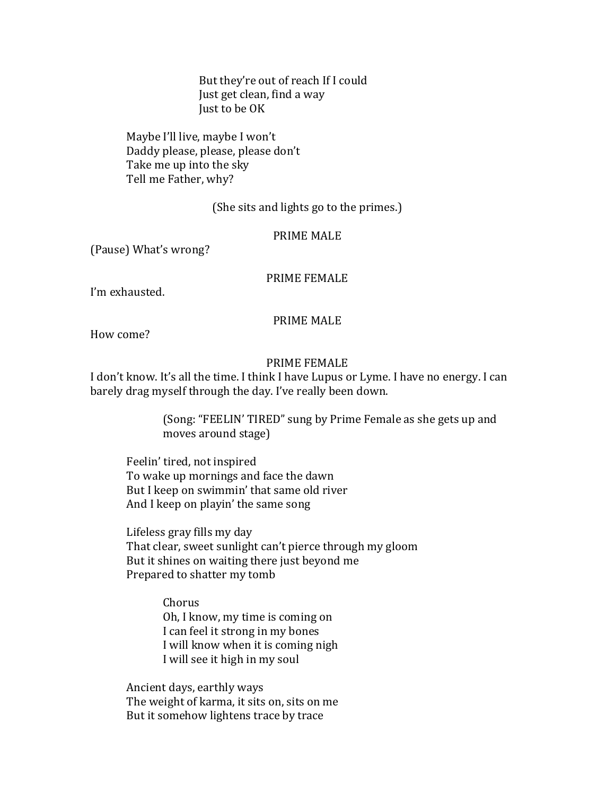But they're out of reach If I could Just get clean, find a way Just to be OK

Maybe I'll live, maybe I won't Daddy please, please, please don't Take me up into the sky Tell me Father, why?

## (She sits and lights go to the primes.)

## PRIME MALE

(Pause) What's wrong?

## PRIME FEMALE

I'm exhausted.

## PRIME MALE

How come?

#### PRIME FEMALE

I don't know. It's all the time. I think I have Lupus or Lyme. I have no energy. I can barely drag myself through the day. I've really been down.

> (Song: "FEELIN' TIRED" sung by Prime Female as she gets up and moves around stage)

Feelin' tired, not inspired To wake up mornings and face the dawn But I keep on swimmin' that same old river And I keep on playin' the same song

Lifeless gray fills my day That clear, sweet sunlight can't pierce through my gloom But it shines on waiting there just beyond me Prepared to shatter my tomb

> Chorus Oh, I know, my time is coming on I can feel it strong in my bones I will know when it is coming nigh I will see it high in my soul

Ancient days, earthly ways The weight of karma, it sits on, sits on me But it somehow lightens trace by trace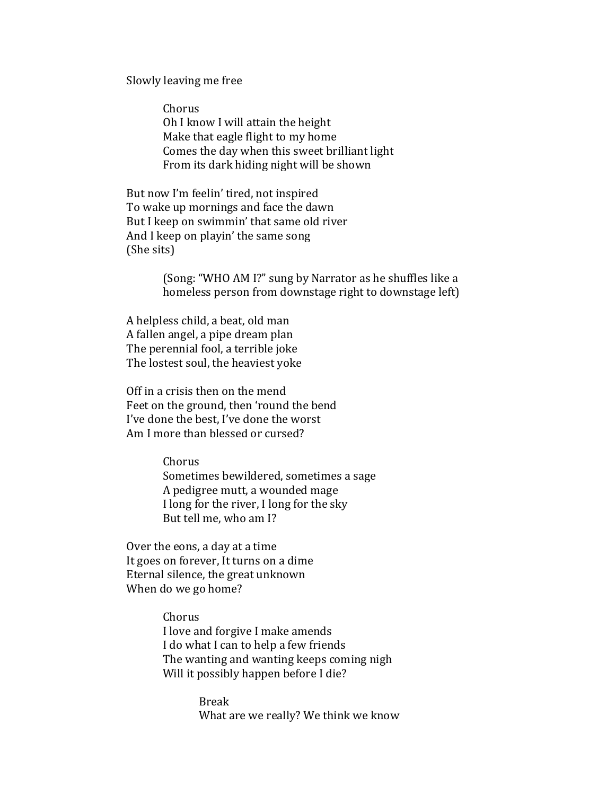Slowly leaving me free

Chorus Oh I know I will attain the height Make that eagle flight to my home Comes the day when this sweet brilliant light From its dark hiding night will be shown

But now I'm feelin' tired, not inspired To wake up mornings and face the dawn But I keep on swimmin' that same old river And I keep on playin' the same song (She sits)

> (Song: "WHO AM I?" sung by Narrator as he shuffles like a homeless person from downstage right to downstage left)

A helpless child, a beat, old man A fallen angel, a pipe dream plan The perennial fool, a terrible joke The lostest soul, the heaviest yoke

Off in a crisis then on the mend Feet on the ground, then 'round the bend I've done the best. I've done the worst Am I more than blessed or cursed?

Chorus

Sometimes bewildered, sometimes a sage A pedigree mutt, a wounded mage I long for the river, I long for the sky But tell me, who am I?

Over the eons, a day at a time It goes on forever, It turns on a dime Eternal silence, the great unknown When do we go home?

> Chorus I love and forgive I make amends I do what I can to help a few friends The wanting and wanting keeps coming nigh Will it possibly happen before I die?

> > Break What are we really? We think we know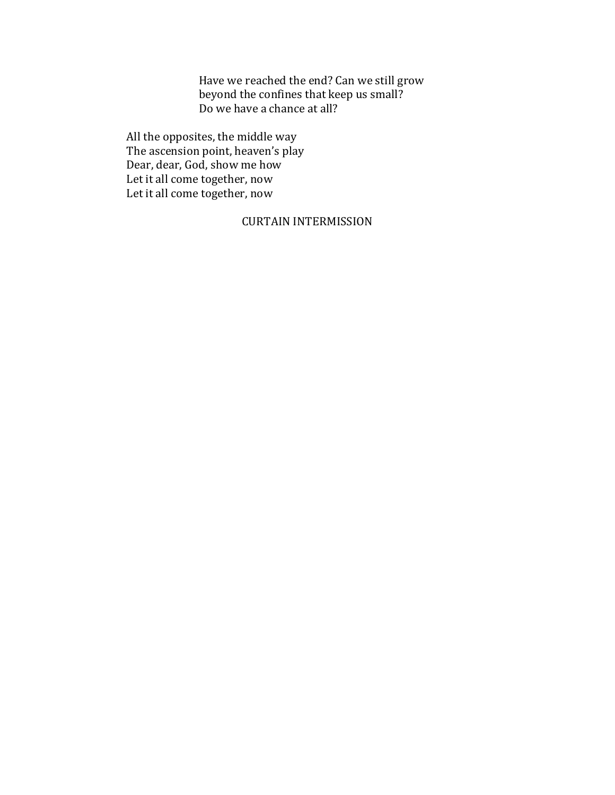Have we reached the end? Can we still grow beyond the confines that keep us small? Do we have a chance at all?

All the opposites, the middle way The ascension point, heaven's play Dear, dear, God, show me how Let it all come together, now Let it all come together, now

## **CURTAIN INTERMISSION**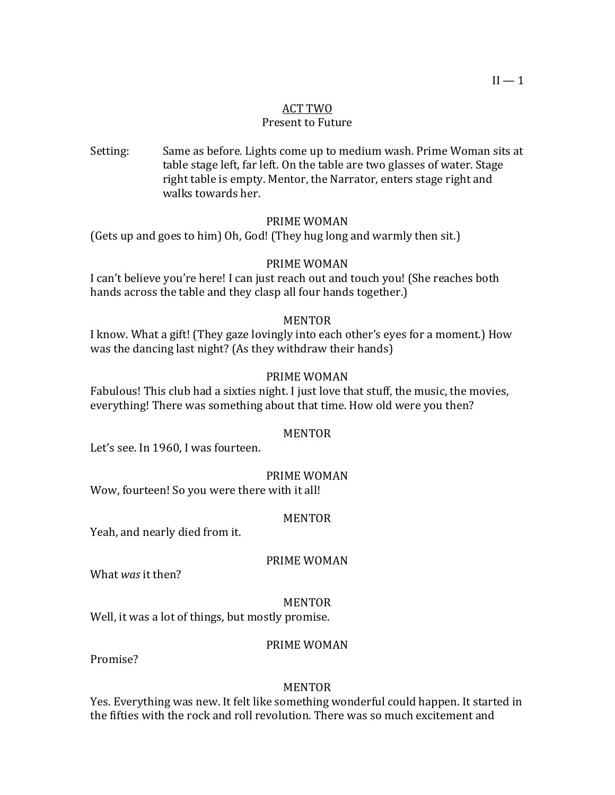## ACT TWO

## Present to Future

Setting: Same as before. Lights come up to medium wash. Prime Woman sits at table stage left, far left. On the table are two glasses of water. Stage right table is empty. Mentor, the Narrator, enters stage right and walks towards her.

## PRIME WOMAN

(Gets up and goes to him) Oh, God! (They hug long and warmly then sit.)

#### PRIME WOMAN

I can't believe you're here! I can just reach out and touch you! (She reaches both hands across the table and they clasp all four hands together.)

## MENTOR

I know. What a gift! (They gaze lovingly into each other's eyes for a moment.) How was the dancing last night? (As they withdraw their hands)

#### PRIME WOMAN

Fabulous! This club had a sixties night. I just love that stuff, the music, the movies, everything! There was something about that time. How old were you then?

#### MENTOR

Let's see. In 1960, I was fourteen.

#### PRIME WOMAN

Wow, fourteen! So you were there with it all!

#### MENTOR

Yeah, and nearly died from it.

#### PRIME WOMAN

What *was* it then?

#### MENTOR

Well, it was a lot of things, but mostly promise.

#### PRIME WOMAN

Promise?

#### MENTOR

Yes. Everything was new. It felt like something wonderful could happen. It started in the fifties with the rock and roll revolution. There was so much excitement and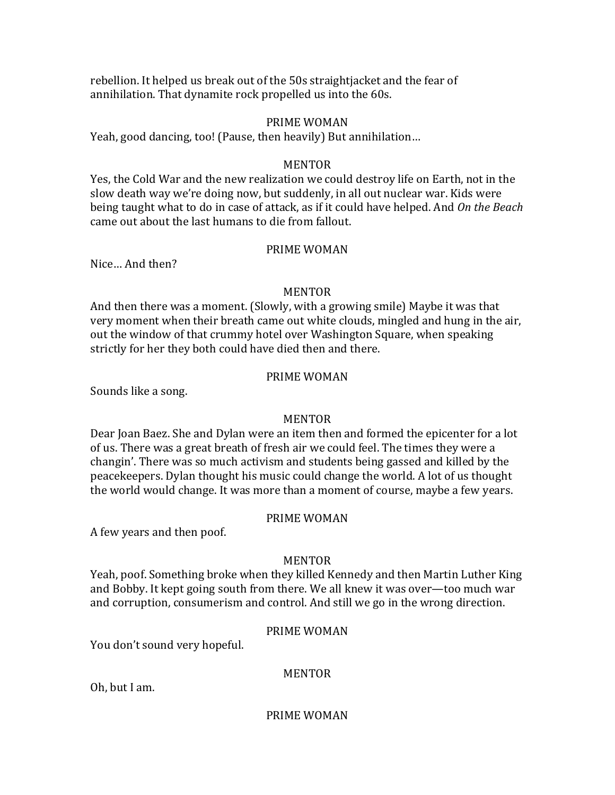rebellion. It helped us break out of the 50s straightjacket and the fear of annihilation. That dynamite rock propelled us into the 60s.

## PRIME WOMAN

Yeah, good dancing, too! (Pause, then heavily) But annihilation...

#### **MENTOR**

Yes, the Cold War and the new realization we could destroy life on Earth, not in the slow death way we're doing now, but suddenly, in all out nuclear war. Kids were being taught what to do in case of attack, as if it could have helped. And *On the Beach* came out about the last humans to die from fallout.

## PRIME WOMAN

Nice... And then?

#### MENTOR

And then there was a moment. (Slowly, with a growing smile) Maybe it was that very moment when their breath came out white clouds, mingled and hung in the air, out the window of that crummy hotel over Washington Square, when speaking strictly for her they both could have died then and there.

#### PRIME WOMAN

Sounds like a song.

#### MENTOR

Dear Joan Baez. She and Dylan were an item then and formed the epicenter for a lot of us. There was a great breath of fresh air we could feel. The times they were a changin'. There was so much activism and students being gassed and killed by the peacekeepers. Dylan thought his music could change the world. A lot of us thought the world would change. It was more than a moment of course, maybe a few years.

## PRIME WOMAN

A few years and then poof.

#### MENTOR

Yeah, poof. Something broke when they killed Kennedy and then Martin Luther King and Bobby. It kept going south from there. We all knew it was over—too much war and corruption, consumerism and control. And still we go in the wrong direction.

#### PRIME WOMAN

You don't sound very hopeful.

## MENTOR

Oh, but I am.

#### PRIME WOMAN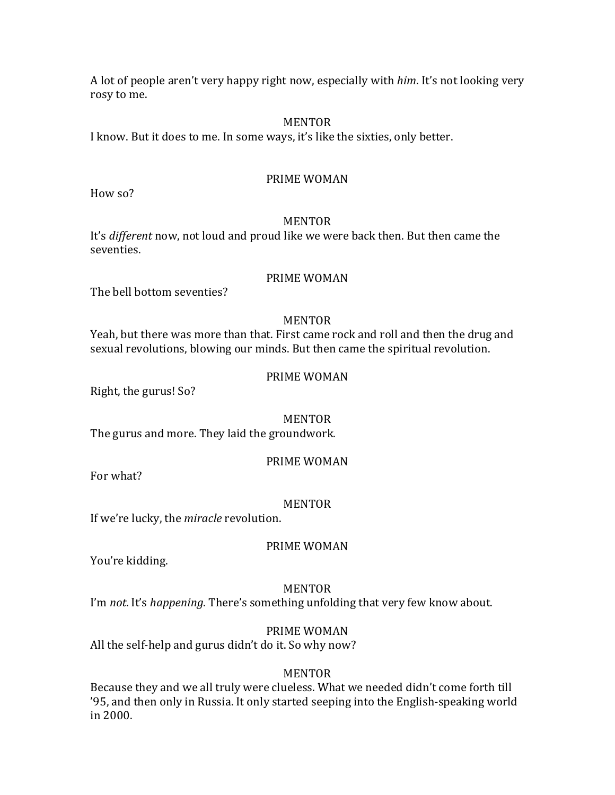A lot of people aren't very happy right now, especially with *him*. It's not looking very rosy to me.

#### MENTOR

I know. But it does to me. In some ways, it's like the sixties, only better.

## PRIME WOMAN

How so?

## MENTOR

It's *different* now, not loud and proud like we were back then. But then came the seventies.

## PRIME WOMAN

The hell bottom seventies?

## MENTOR

Yeah, but there was more than that. First came rock and roll and then the drug and sexual revolutions, blowing our minds. But then came the spiritual revolution.

## PRIME WOMAN

Right, the gurus! So?

#### MENTOR

The gurus and more. They laid the groundwork.

#### PRIME WOMAN

For what?

#### MENTOR

If we're lucky, the *miracle* revolution.

## PRIME WOMAN

You're kidding.

#### MENTOR

I'm *not*. It's *happening*. There's something unfolding that very few know about.

## PRIME WOMAN

All the self-help and gurus didn't do it. So why now?

## MENTOR

Because they and we all truly were clueless. What we needed didn't come forth till '95, and then only in Russia. It only started seeping into the English-speaking world in 2000.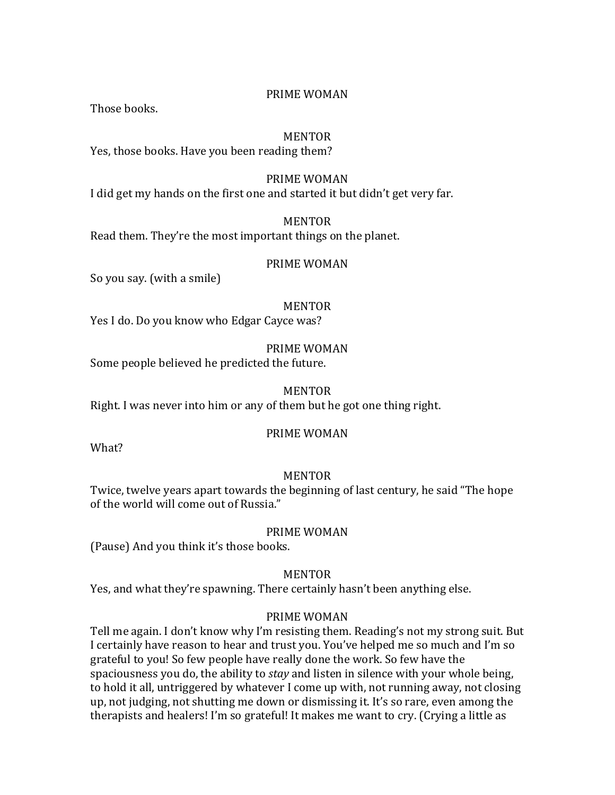## PRIME WOMAN

Those books.

## MENTOR

Yes, those books. Have you been reading them?

## PRIME WOMAN

I did get my hands on the first one and started it but didn't get very far.

## MENTOR

Read them. They're the most important things on the planet.

#### PRIME WOMAN

So you say. (with a smile)

#### MENTOR

Yes I do. Do you know who Edgar Cayce was?

## PRIME WOMAN

Some people believed he predicted the future.

#### MENTOR

Right. I was never into him or any of them but he got one thing right.

#### PRIME WOMAN

What?

## MENTOR

Twice, twelve years apart towards the beginning of last century, he said "The hope of the world will come out of Russia."

#### PRIME WOMAN

(Pause) And you think it's those books.

## MENTOR

Yes, and what they're spawning. There certainly hasn't been anything else.

## PRIME WOMAN

Tell me again. I don't know why I'm resisting them. Reading's not my strong suit. But I certainly have reason to hear and trust you. You've helped me so much and I'm so grateful to you! So few people have really done the work. So few have the spaciousness you do, the ability to *stay* and listen in silence with your whole being, to hold it all, untriggered by whatever I come up with, not running away, not closing up, not judging, not shutting me down or dismissing it. It's so rare, even among the therapists and healers! I'm so grateful! It makes me want to cry. (Crying a little as